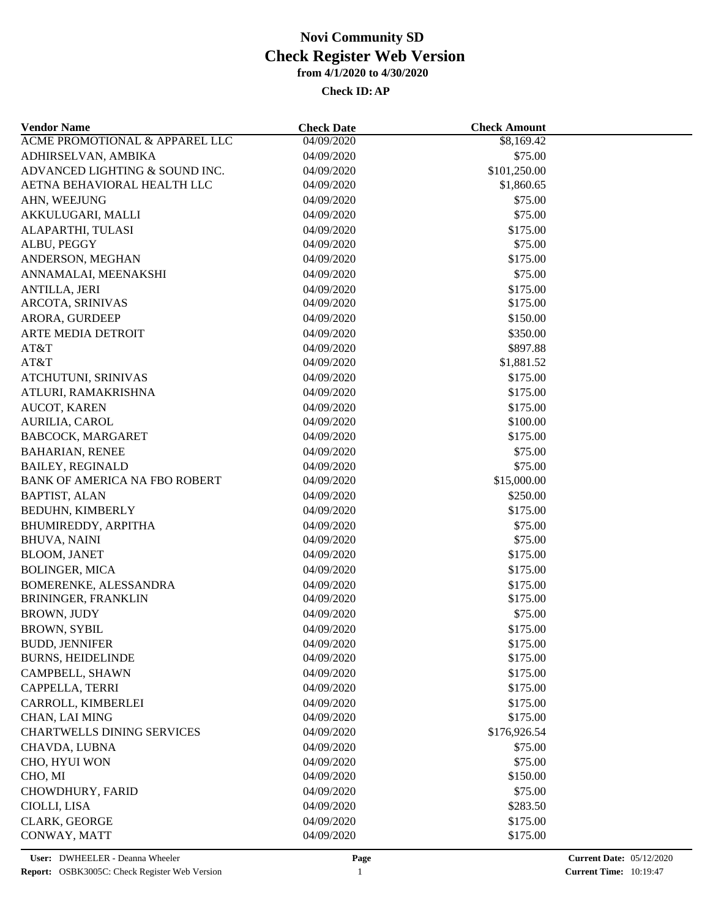| <b>Vendor Name</b>                | <b>Check Date</b> | <b>Check Amount</b> |  |
|-----------------------------------|-------------------|---------------------|--|
| ACME PROMOTIONAL & APPAREL LLC    | 04/09/2020        | \$8,169.42          |  |
| ADHIRSELVAN, AMBIKA               | 04/09/2020        | \$75.00             |  |
| ADVANCED LIGHTING & SOUND INC.    | 04/09/2020        | \$101,250.00        |  |
| AETNA BEHAVIORAL HEALTH LLC       | 04/09/2020        | \$1,860.65          |  |
| AHN, WEEJUNG                      | 04/09/2020        | \$75.00             |  |
| AKKULUGARI, MALLI                 | 04/09/2020        | \$75.00             |  |
| ALAPARTHI, TULASI                 | 04/09/2020        | \$175.00            |  |
| ALBU, PEGGY                       | 04/09/2020        | \$75.00             |  |
| ANDERSON, MEGHAN                  | 04/09/2020        | \$175.00            |  |
| ANNAMALAI, MEENAKSHI              | 04/09/2020        | \$75.00             |  |
| <b>ANTILLA, JERI</b>              | 04/09/2020        | \$175.00            |  |
| ARCOTA, SRINIVAS                  | 04/09/2020        | \$175.00            |  |
| ARORA, GURDEEP                    | 04/09/2020        | \$150.00            |  |
| <b>ARTE MEDIA DETROIT</b>         | 04/09/2020        | \$350.00            |  |
| AT&T                              | 04/09/2020        | \$897.88            |  |
| AT&T                              | 04/09/2020        | \$1,881.52          |  |
| ATCHUTUNI, SRINIVAS               | 04/09/2020        | \$175.00            |  |
| ATLURI, RAMAKRISHNA               | 04/09/2020        | \$175.00            |  |
| AUCOT, KAREN                      | 04/09/2020        | \$175.00            |  |
| AURILIA, CAROL                    | 04/09/2020        | \$100.00            |  |
| BABCOCK, MARGARET                 | 04/09/2020        | \$175.00            |  |
| <b>BAHARIAN, RENEE</b>            | 04/09/2020        | \$75.00             |  |
| <b>BAILEY, REGINALD</b>           | 04/09/2020        | \$75.00             |  |
| BANK OF AMERICA NA FBO ROBERT     | 04/09/2020        | \$15,000.00         |  |
| <b>BAPTIST, ALAN</b>              | 04/09/2020        | \$250.00            |  |
| <b>BEDUHN, KIMBERLY</b>           | 04/09/2020        | \$175.00            |  |
| BHUMIREDDY, ARPITHA               | 04/09/2020        | \$75.00             |  |
| <b>BHUVA, NAINI</b>               | 04/09/2020        | \$75.00             |  |
| <b>BLOOM, JANET</b>               | 04/09/2020        | \$175.00            |  |
| <b>BOLINGER, MICA</b>             | 04/09/2020        | \$175.00            |  |
| BOMERENKE, ALESSANDRA             | 04/09/2020        | \$175.00            |  |
| BRININGER, FRANKLIN               | 04/09/2020        | \$175.00            |  |
| <b>BROWN, JUDY</b>                | 04/09/2020        | \$75.00             |  |
| <b>BROWN, SYBIL</b>               | 04/09/2020        | \$175.00            |  |
| <b>BUDD, JENNIFER</b>             | 04/09/2020        | \$175.00            |  |
| <b>BURNS, HEIDELINDE</b>          | 04/09/2020        | \$175.00            |  |
| CAMPBELL, SHAWN                   | 04/09/2020        | \$175.00            |  |
| CAPPELLA, TERRI                   | 04/09/2020        | \$175.00            |  |
| CARROLL, KIMBERLEI                | 04/09/2020        | \$175.00            |  |
| CHAN, LAI MING                    | 04/09/2020        | \$175.00            |  |
| <b>CHARTWELLS DINING SERVICES</b> | 04/09/2020        |                     |  |
|                                   |                   | \$176,926.54        |  |
| CHAVDA, LUBNA                     | 04/09/2020        | \$75.00             |  |
| CHO, HYUI WON                     | 04/09/2020        | \$75.00             |  |
| CHO, MI                           | 04/09/2020        | \$150.00            |  |
| CHOWDHURY, FARID                  | 04/09/2020        | \$75.00             |  |
| CIOLLI, LISA                      | 04/09/2020        | \$283.50            |  |
| <b>CLARK, GEORGE</b>              | 04/09/2020        | \$175.00            |  |
| CONWAY, MATT                      | 04/09/2020        | \$175.00            |  |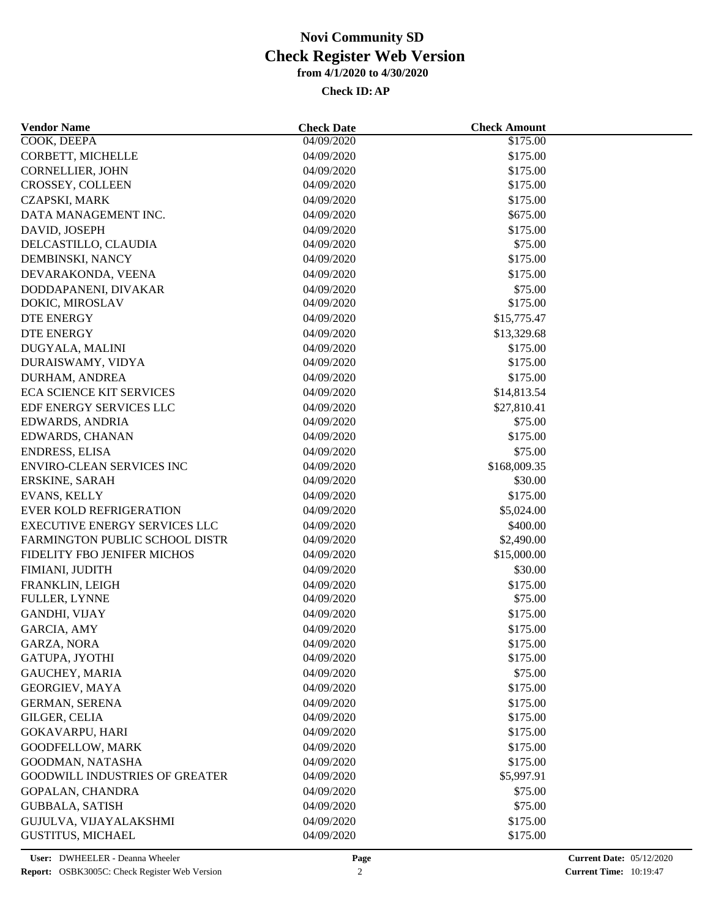| <b>Vendor Name</b>                                        | <b>Check Date</b>        | <b>Check Amount</b>  |  |
|-----------------------------------------------------------|--------------------------|----------------------|--|
| COOK, DEEPA                                               | 04/09/2020               | \$175.00             |  |
| CORBETT, MICHELLE                                         | 04/09/2020               | \$175.00             |  |
| <b>CORNELLIER, JOHN</b>                                   | 04/09/2020               | \$175.00             |  |
| CROSSEY, COLLEEN                                          | 04/09/2020               | \$175.00             |  |
| CZAPSKI, MARK                                             | 04/09/2020               | \$175.00             |  |
| DATA MANAGEMENT INC.                                      | 04/09/2020               | \$675.00             |  |
| DAVID, JOSEPH                                             | 04/09/2020               | \$175.00             |  |
| DELCASTILLO, CLAUDIA                                      | 04/09/2020               | \$75.00              |  |
| DEMBINSKI, NANCY                                          | 04/09/2020               | \$175.00             |  |
| DEVARAKONDA, VEENA                                        | 04/09/2020               | \$175.00             |  |
| DODDAPANENI, DIVAKAR                                      | 04/09/2020               | \$75.00              |  |
| DOKIC, MIROSLAV                                           | 04/09/2020               | \$175.00             |  |
| <b>DTE ENERGY</b>                                         | 04/09/2020               | \$15,775.47          |  |
| <b>DTE ENERGY</b>                                         | 04/09/2020               | \$13,329.68          |  |
| DUGYALA, MALINI                                           | 04/09/2020               | \$175.00             |  |
| DURAISWAMY, VIDYA                                         | 04/09/2020               | \$175.00             |  |
| DURHAM, ANDREA                                            | 04/09/2020               | \$175.00             |  |
| <b>ECA SCIENCE KIT SERVICES</b>                           | 04/09/2020               | \$14,813.54          |  |
| EDF ENERGY SERVICES LLC                                   | 04/09/2020               | \$27,810.41          |  |
| EDWARDS, ANDRIA                                           | 04/09/2020               | \$75.00              |  |
| EDWARDS, CHANAN                                           | 04/09/2020               | \$175.00             |  |
| <b>ENDRESS, ELISA</b>                                     | 04/09/2020               | \$75.00              |  |
| <b>ENVIRO-CLEAN SERVICES INC</b>                          | 04/09/2020               | \$168,009.35         |  |
| ERSKINE, SARAH                                            | 04/09/2020               | \$30.00              |  |
| <b>EVANS, KELLY</b>                                       | 04/09/2020               | \$175.00             |  |
| <b>EVER KOLD REFRIGERATION</b>                            | 04/09/2020               | \$5,024.00           |  |
| <b>EXECUTIVE ENERGY SERVICES LLC</b>                      | 04/09/2020               | \$400.00             |  |
| FARMINGTON PUBLIC SCHOOL DISTR                            | 04/09/2020               | \$2,490.00           |  |
| FIDELITY FBO JENIFER MICHOS                               | 04/09/2020               | \$15,000.00          |  |
| FIMIANI, JUDITH                                           | 04/09/2020               | \$30.00              |  |
| FRANKLIN, LEIGH                                           | 04/09/2020               | \$175.00             |  |
| FULLER, LYNNE                                             | 04/09/2020               | \$75.00              |  |
| GANDHI, VIJAY                                             | 04/09/2020               | \$175.00             |  |
| <b>GARCIA, AMY</b>                                        | 04/09/2020               | \$175.00             |  |
| GARZA, NORA                                               | 04/09/2020               | \$175.00             |  |
| GATUPA, JYOTHI                                            | 04/09/2020               | \$175.00             |  |
| <b>GAUCHEY, MARIA</b>                                     | 04/09/2020               | \$75.00              |  |
| GEORGIEV, MAYA                                            | 04/09/2020               | \$175.00             |  |
| <b>GERMAN, SERENA</b>                                     |                          |                      |  |
| GILGER, CELIA                                             | 04/09/2020<br>04/09/2020 | \$175.00<br>\$175.00 |  |
| <b>GOKAVARPU, HARI</b>                                    | 04/09/2020               | \$175.00             |  |
| GOODFELLOW, MARK                                          |                          |                      |  |
|                                                           | 04/09/2020               | \$175.00             |  |
| GOODMAN, NATASHA<br><b>GOODWILL INDUSTRIES OF GREATER</b> | 04/09/2020               | \$175.00             |  |
|                                                           | 04/09/2020               | \$5,997.91           |  |
| GOPALAN, CHANDRA                                          | 04/09/2020               | \$75.00              |  |
| <b>GUBBALA, SATISH</b>                                    | 04/09/2020               | \$75.00              |  |
| GUJULVA, VIJAYALAKSHMI                                    | 04/09/2020               | \$175.00             |  |
| <b>GUSTITUS, MICHAEL</b>                                  | 04/09/2020               | \$175.00             |  |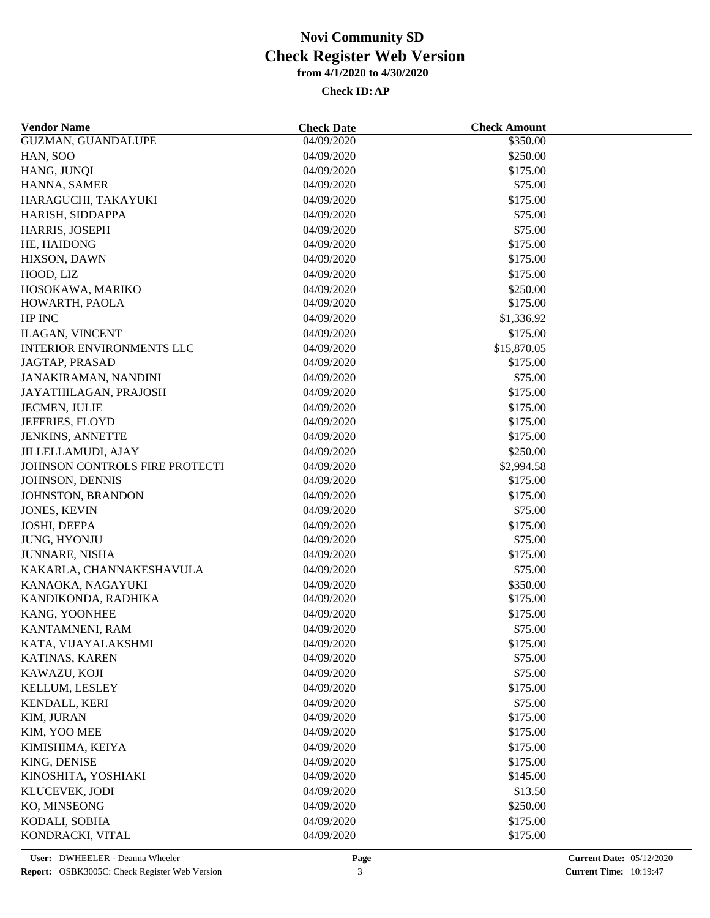| <b>Vendor Name</b>               | <b>Check Date</b> | <b>Check Amount</b> |  |
|----------------------------------|-------------------|---------------------|--|
| <b>GUZMAN, GUANDALUPE</b>        | 04/09/2020        | \$350.00            |  |
| HAN, SOO                         | 04/09/2020        | \$250.00            |  |
| HANG, JUNQI                      | 04/09/2020        | \$175.00            |  |
| HANNA, SAMER                     | 04/09/2020        | \$75.00             |  |
| HARAGUCHI, TAKAYUKI              | 04/09/2020        | \$175.00            |  |
| HARISH, SIDDAPPA                 | 04/09/2020        | \$75.00             |  |
| HARRIS, JOSEPH                   | 04/09/2020        | \$75.00             |  |
| HE, HAIDONG                      | 04/09/2020        | \$175.00            |  |
| HIXSON, DAWN                     | 04/09/2020        | \$175.00            |  |
| HOOD, LIZ                        | 04/09/2020        | \$175.00            |  |
| HOSOKAWA, MARIKO                 | 04/09/2020        | \$250.00            |  |
| HOWARTH, PAOLA                   | 04/09/2020        | \$175.00            |  |
| HP INC                           | 04/09/2020        | \$1,336.92          |  |
| <b>ILAGAN, VINCENT</b>           | 04/09/2020        | \$175.00            |  |
| <b>INTERIOR ENVIRONMENTS LLC</b> | 04/09/2020        | \$15,870.05         |  |
| JAGTAP, PRASAD                   | 04/09/2020        | \$175.00            |  |
| JANAKIRAMAN, NANDINI             | 04/09/2020        | \$75.00             |  |
| JAYATHILAGAN, PRAJOSH            | 04/09/2020        | \$175.00            |  |
| JECMEN, JULIE                    | 04/09/2020        | \$175.00            |  |
| JEFFRIES, FLOYD                  | 04/09/2020        | \$175.00            |  |
| <b>JENKINS, ANNETTE</b>          | 04/09/2020        | \$175.00            |  |
| <b>JILLELLAMUDI, AJAY</b>        | 04/09/2020        | \$250.00            |  |
| JOHNSON CONTROLS FIRE PROTECTI   | 04/09/2020        | \$2,994.58          |  |
| JOHNSON, DENNIS                  | 04/09/2020        | \$175.00            |  |
| JOHNSTON, BRANDON                | 04/09/2020        | \$175.00            |  |
| <b>JONES, KEVIN</b>              | 04/09/2020        | \$75.00             |  |
| JOSHI, DEEPA                     | 04/09/2020        | \$175.00            |  |
| JUNG, HYONJU                     | 04/09/2020        | \$75.00             |  |
| <b>JUNNARE, NISHA</b>            | 04/09/2020        | \$175.00            |  |
| KAKARLA, CHANNAKESHAVULA         | 04/09/2020        | \$75.00             |  |
| KANAOKA, NAGAYUKI                | 04/09/2020        | \$350.00            |  |
| KANDIKONDA, RADHIKA              | 04/09/2020        | \$175.00            |  |
| KANG, YOONHEE                    | 04/09/2020        | \$175.00            |  |
| KANTAMNENI, RAM                  | 04/09/2020        | \$75.00             |  |
| KATA, VIJAYALAKSHMI              | 04/09/2020        | \$175.00            |  |
| KATINAS, KAREN                   | 04/09/2020        | \$75.00             |  |
| KAWAZU, KOJI                     | 04/09/2020        | \$75.00             |  |
|                                  |                   |                     |  |
| KELLUM, LESLEY                   | 04/09/2020        | \$175.00            |  |
| KENDALL, KERI                    | 04/09/2020        | \$75.00             |  |
| KIM, JURAN                       | 04/09/2020        | \$175.00            |  |
| KIM, YOO MEE                     | 04/09/2020        | \$175.00            |  |
| KIMISHIMA, KEIYA                 | 04/09/2020        | \$175.00            |  |
| KING, DENISE                     | 04/09/2020        | \$175.00            |  |
| KINOSHITA, YOSHIAKI              | 04/09/2020        | \$145.00            |  |
| KLUCEVEK, JODI                   | 04/09/2020        | \$13.50             |  |
| KO, MINSEONG                     | 04/09/2020        | \$250.00            |  |
| KODALI, SOBHA                    | 04/09/2020        | \$175.00            |  |
| KONDRACKI, VITAL                 | 04/09/2020        | \$175.00            |  |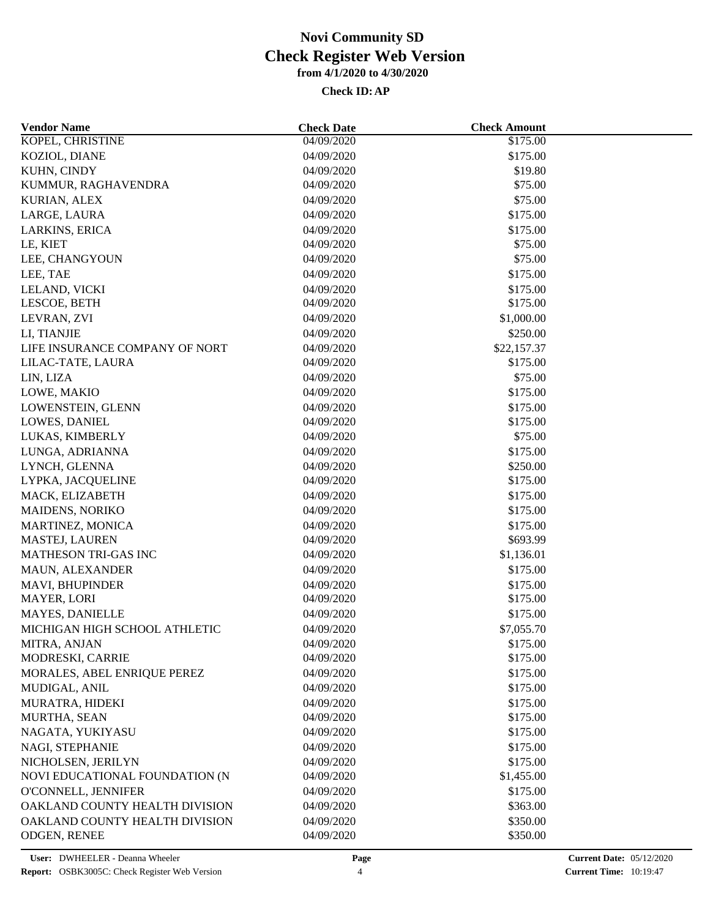| <b>Vendor Name</b>             | <b>Check Date</b> | <b>Check Amount</b> |  |
|--------------------------------|-------------------|---------------------|--|
| KOPEL, CHRISTINE               | 04/09/2020        | \$175.00            |  |
| KOZIOL, DIANE                  | 04/09/2020        | \$175.00            |  |
| KUHN, CINDY                    | 04/09/2020        | \$19.80             |  |
| KUMMUR, RAGHAVENDRA            | 04/09/2020        | \$75.00             |  |
| KURIAN, ALEX                   | 04/09/2020        | \$75.00             |  |
| LARGE, LAURA                   | 04/09/2020        | \$175.00            |  |
| LARKINS, ERICA                 | 04/09/2020        | \$175.00            |  |
| LE, KIET                       | 04/09/2020        | \$75.00             |  |
| LEE, CHANGYOUN                 | 04/09/2020        | \$75.00             |  |
| LEE, TAE                       | 04/09/2020        | \$175.00            |  |
| LELAND, VICKI                  | 04/09/2020        | \$175.00            |  |
| LESCOE, BETH                   | 04/09/2020        | \$175.00            |  |
| LEVRAN, ZVI                    | 04/09/2020        | \$1,000.00          |  |
| LI, TIANJIE                    | 04/09/2020        | \$250.00            |  |
| LIFE INSURANCE COMPANY OF NORT | 04/09/2020        | \$22,157.37         |  |
| LILAC-TATE, LAURA              | 04/09/2020        | \$175.00            |  |
| LIN, LIZA                      | 04/09/2020        | \$75.00             |  |
| LOWE, MAKIO                    | 04/09/2020        | \$175.00            |  |
| LOWENSTEIN, GLENN              | 04/09/2020        | \$175.00            |  |
| LOWES, DANIEL                  | 04/09/2020        | \$175.00            |  |
| LUKAS, KIMBERLY                | 04/09/2020        | \$75.00             |  |
| LUNGA, ADRIANNA                | 04/09/2020        | \$175.00            |  |
| LYNCH, GLENNA                  | 04/09/2020        | \$250.00            |  |
| LYPKA, JACQUELINE              | 04/09/2020        | \$175.00            |  |
| MACK, ELIZABETH                | 04/09/2020        | \$175.00            |  |
|                                |                   |                     |  |
| <b>MAIDENS, NORIKO</b>         | 04/09/2020        | \$175.00            |  |
| MARTINEZ, MONICA               | 04/09/2020        | \$175.00            |  |
| MASTEJ, LAUREN                 | 04/09/2020        | \$693.99            |  |
| <b>MATHESON TRI-GAS INC</b>    | 04/09/2020        | \$1,136.01          |  |
| MAUN, ALEXANDER                | 04/09/2020        | \$175.00            |  |
| MAVI, BHUPINDER                | 04/09/2020        | \$175.00            |  |
| MAYER, LORI                    | 04/09/2020        | \$175.00            |  |
| <b>MAYES, DANIELLE</b>         | 04/09/2020        | \$175.00            |  |
| MICHIGAN HIGH SCHOOL ATHLETIC  | 04/09/2020        | \$7,055.70          |  |
| MITRA, ANJAN                   | 04/09/2020        | \$175.00            |  |
| MODRESKI, CARRIE               | 04/09/2020        | \$175.00            |  |
| MORALES, ABEL ENRIQUE PEREZ    | 04/09/2020        | \$175.00            |  |
| MUDIGAL, ANIL                  | 04/09/2020        | \$175.00            |  |
| MURATRA, HIDEKI                | 04/09/2020        | \$175.00            |  |
| MURTHA, SEAN                   | 04/09/2020        | \$175.00            |  |
| NAGATA, YUKIYASU               | 04/09/2020        | \$175.00            |  |
| NAGI, STEPHANIE                | 04/09/2020        | \$175.00            |  |
| NICHOLSEN, JERILYN             | 04/09/2020        | \$175.00            |  |
| NOVI EDUCATIONAL FOUNDATION (N | 04/09/2020        | \$1,455.00          |  |
| O'CONNELL, JENNIFER            | 04/09/2020        | \$175.00            |  |
| OAKLAND COUNTY HEALTH DIVISION | 04/09/2020        | \$363.00            |  |
| OAKLAND COUNTY HEALTH DIVISION | 04/09/2020        | \$350.00            |  |
| ODGEN, RENEE                   | 04/09/2020        | \$350.00            |  |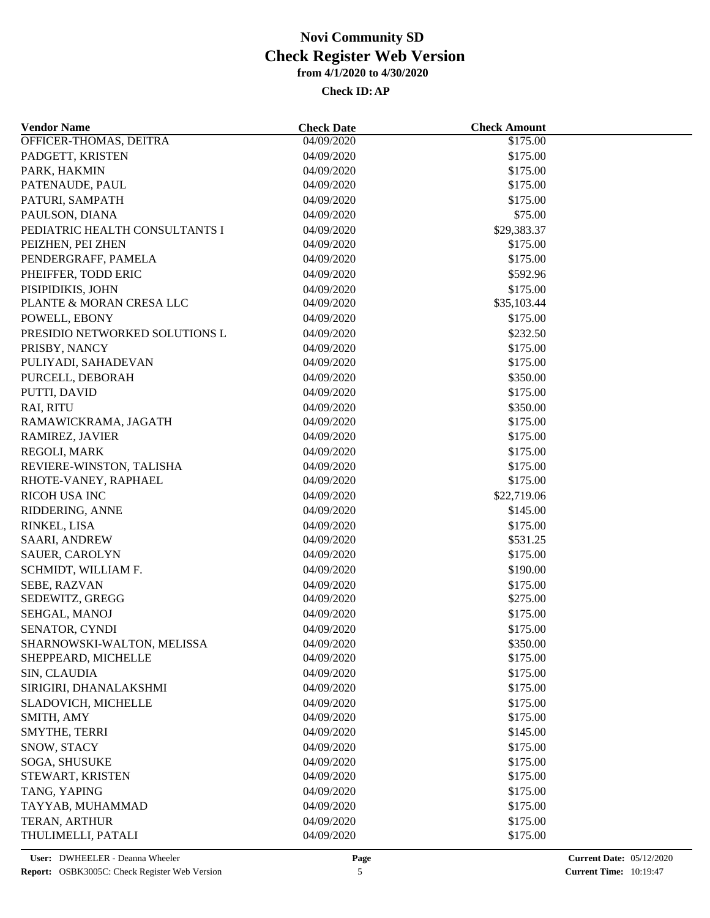| <b>Vendor Name</b>             | <b>Check Date</b>        | <b>Check Amount</b> |  |
|--------------------------------|--------------------------|---------------------|--|
| OFFICER-THOMAS, DEITRA         | 04/09/2020               | \$175.00            |  |
| PADGETT, KRISTEN               | 04/09/2020               | \$175.00            |  |
| PARK, HAKMIN                   | 04/09/2020               | \$175.00            |  |
| PATENAUDE, PAUL                | 04/09/2020               | \$175.00            |  |
| PATURI, SAMPATH                | 04/09/2020               | \$175.00            |  |
| PAULSON, DIANA                 | 04/09/2020               | \$75.00             |  |
| PEDIATRIC HEALTH CONSULTANTS I | 04/09/2020               | \$29,383.37         |  |
| PEIZHEN, PEI ZHEN              | 04/09/2020               | \$175.00            |  |
| PENDERGRAFF, PAMELA            | 04/09/2020               | \$175.00            |  |
| PHEIFFER, TODD ERIC            | 04/09/2020               | \$592.96            |  |
| PISIPIDIKIS, JOHN              | 04/09/2020               | \$175.00            |  |
| PLANTE & MORAN CRESA LLC       | 04/09/2020               | \$35,103.44         |  |
| POWELL, EBONY                  | 04/09/2020               | \$175.00            |  |
| PRESIDIO NETWORKED SOLUTIONS L | 04/09/2020               | \$232.50            |  |
| PRISBY, NANCY                  | 04/09/2020               | \$175.00            |  |
| PULIYADI, SAHADEVAN            | 04/09/2020               | \$175.00            |  |
| PURCELL, DEBORAH               | 04/09/2020               | \$350.00            |  |
| PUTTI, DAVID                   | 04/09/2020               | \$175.00            |  |
| RAI, RITU                      | 04/09/2020               | \$350.00            |  |
| RAMAWICKRAMA, JAGATH           | 04/09/2020               | \$175.00            |  |
| RAMIREZ, JAVIER                | 04/09/2020               | \$175.00            |  |
| REGOLI, MARK                   | 04/09/2020               | \$175.00            |  |
| REVIERE-WINSTON, TALISHA       | 04/09/2020               | \$175.00            |  |
| RHOTE-VANEY, RAPHAEL           | 04/09/2020               | \$175.00            |  |
| <b>RICOH USA INC</b>           | 04/09/2020               | \$22,719.06         |  |
| RIDDERING, ANNE                | 04/09/2020               | \$145.00            |  |
| RINKEL, LISA                   | 04/09/2020               | \$175.00            |  |
| SAARI, ANDREW                  | 04/09/2020               | \$531.25            |  |
| SAUER, CAROLYN                 | 04/09/2020               | \$175.00            |  |
| SCHMIDT, WILLIAM F.            | 04/09/2020               | \$190.00            |  |
| SEBE, RAZVAN                   | 04/09/2020               | \$175.00            |  |
| SEDEWITZ, GREGG                | 04/09/2020               | \$275.00            |  |
| SEHGAL, MANOJ                  | 04/09/2020               | \$175.00            |  |
| SENATOR, CYNDI                 | 04/09/2020               | \$175.00            |  |
| SHARNOWSKI-WALTON, MELISSA     | 04/09/2020               | \$350.00            |  |
| SHEPPEARD, MICHELLE            | 04/09/2020               | \$175.00            |  |
| SIN, CLAUDIA                   | 04/09/2020               | \$175.00            |  |
| SIRIGIRI, DHANALAKSHMI         | 04/09/2020               | \$175.00            |  |
| SLADOVICH, MICHELLE            |                          | \$175.00            |  |
| SMITH, AMY                     | 04/09/2020<br>04/09/2020 | \$175.00            |  |
| SMYTHE, TERRI                  | 04/09/2020               | \$145.00            |  |
|                                |                          |                     |  |
| SNOW, STACY                    | 04/09/2020               | \$175.00            |  |
| SOGA, SHUSUKE                  | 04/09/2020               | \$175.00            |  |
| STEWART, KRISTEN               | 04/09/2020               | \$175.00            |  |
| TANG, YAPING                   | 04/09/2020               | \$175.00            |  |
| TAYYAB, MUHAMMAD               | 04/09/2020               | \$175.00            |  |
| TERAN, ARTHUR                  | 04/09/2020               | \$175.00            |  |
| THULIMELLI, PATALI             | 04/09/2020               | \$175.00            |  |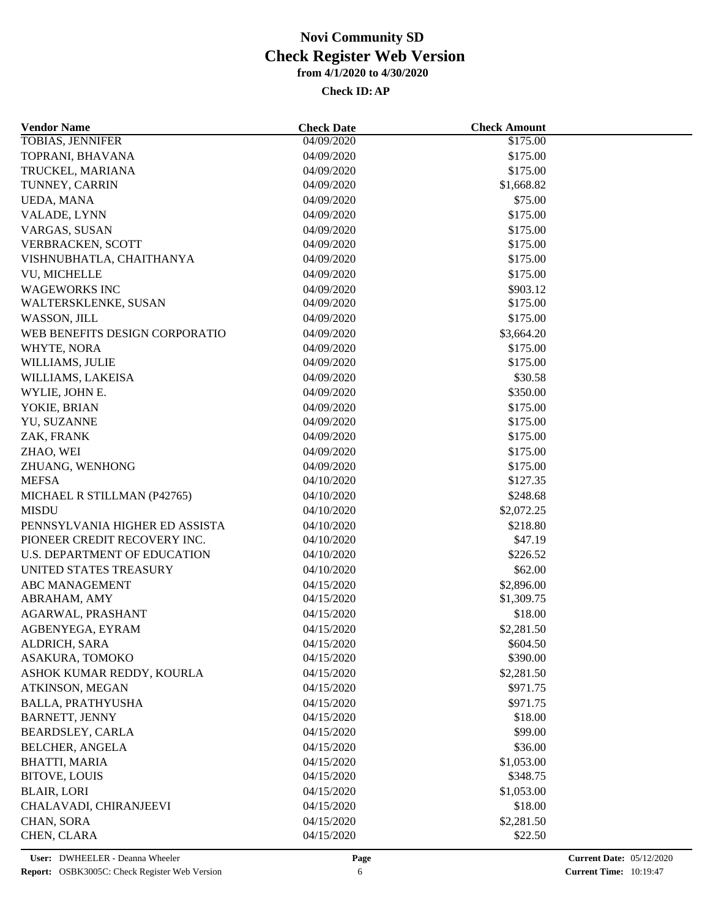| <b>Vendor Name</b>              | <b>Check Date</b>        | <b>Check Amount</b> |  |
|---------------------------------|--------------------------|---------------------|--|
| TOBIAS, JENNIFER                | 04/09/2020               | \$175.00            |  |
| TOPRANI, BHAVANA                | 04/09/2020               | \$175.00            |  |
| TRUCKEL, MARIANA                | 04/09/2020               | \$175.00            |  |
| TUNNEY, CARRIN                  | 04/09/2020               | \$1,668.82          |  |
| UEDA, MANA                      | 04/09/2020               | \$75.00             |  |
| VALADE, LYNN                    | 04/09/2020               | \$175.00            |  |
| VARGAS, SUSAN                   | 04/09/2020               | \$175.00            |  |
| VERBRACKEN, SCOTT               | 04/09/2020               | \$175.00            |  |
| VISHNUBHATLA, CHAITHANYA        | 04/09/2020               | \$175.00            |  |
| VU, MICHELLE                    | 04/09/2020               | \$175.00            |  |
| <b>WAGEWORKS INC</b>            | 04/09/2020               | \$903.12            |  |
| WALTERSKLENKE, SUSAN            | 04/09/2020               | \$175.00            |  |
| WASSON, JILL                    | 04/09/2020               | \$175.00            |  |
| WEB BENEFITS DESIGN CORPORATIO  | 04/09/2020               | \$3,664.20          |  |
| WHYTE, NORA                     | 04/09/2020               | \$175.00            |  |
| WILLIAMS, JULIE                 | 04/09/2020               | \$175.00            |  |
| WILLIAMS, LAKEISA               | 04/09/2020               | \$30.58             |  |
| WYLIE, JOHN E.                  | 04/09/2020               | \$350.00            |  |
| YOKIE, BRIAN                    | 04/09/2020               | \$175.00            |  |
| YU, SUZANNE                     | 04/09/2020               | \$175.00            |  |
| ZAK, FRANK                      | 04/09/2020               | \$175.00            |  |
| ZHAO, WEI                       | 04/09/2020               | \$175.00            |  |
|                                 |                          | \$175.00            |  |
| ZHUANG, WENHONG<br><b>MEFSA</b> | 04/09/2020<br>04/10/2020 | \$127.35            |  |
| MICHAEL R STILLMAN (P42765)     | 04/10/2020               | \$248.68            |  |
|                                 |                          |                     |  |
| <b>MISDU</b>                    | 04/10/2020               | \$2,072.25          |  |
| PENNSYLVANIA HIGHER ED ASSISTA  | 04/10/2020               | \$218.80            |  |
| PIONEER CREDIT RECOVERY INC.    | 04/10/2020               | \$47.19             |  |
| U.S. DEPARTMENT OF EDUCATION    | 04/10/2020               | \$226.52            |  |
| UNITED STATES TREASURY          | 04/10/2020               | \$62.00             |  |
| <b>ABC MANAGEMENT</b>           | 04/15/2020               | \$2,896.00          |  |
| ABRAHAM, AMY                    | 04/15/2020               | \$1,309.75          |  |
| AGARWAL, PRASHANT               | 04/15/2020               | \$18.00             |  |
| AGBENYEGA, EYRAM                | 04/15/2020               | \$2,281.50          |  |
| ALDRICH, SARA                   | 04/15/2020               | \$604.50            |  |
| ASAKURA, TOMOKO                 | 04/15/2020               | \$390.00            |  |
| ASHOK KUMAR REDDY, KOURLA       | 04/15/2020               | \$2,281.50          |  |
| ATKINSON, MEGAN                 | 04/15/2020               | \$971.75            |  |
| <b>BALLA, PRATHYUSHA</b>        | 04/15/2020               | \$971.75            |  |
| <b>BARNETT, JENNY</b>           | 04/15/2020               | \$18.00             |  |
| BEARDSLEY, CARLA                | 04/15/2020               | \$99.00             |  |
| <b>BELCHER, ANGELA</b>          | 04/15/2020               | \$36.00             |  |
| <b>BHATTI, MARIA</b>            | 04/15/2020               | \$1,053.00          |  |
| <b>BITOVE, LOUIS</b>            | 04/15/2020               | \$348.75            |  |
| <b>BLAIR, LORI</b>              | 04/15/2020               | \$1,053.00          |  |
| CHALAVADI, CHIRANJEEVI          | 04/15/2020               | \$18.00             |  |
| CHAN, SORA                      | 04/15/2020               | \$2,281.50          |  |
| CHEN, CLARA                     | 04/15/2020               | \$22.50             |  |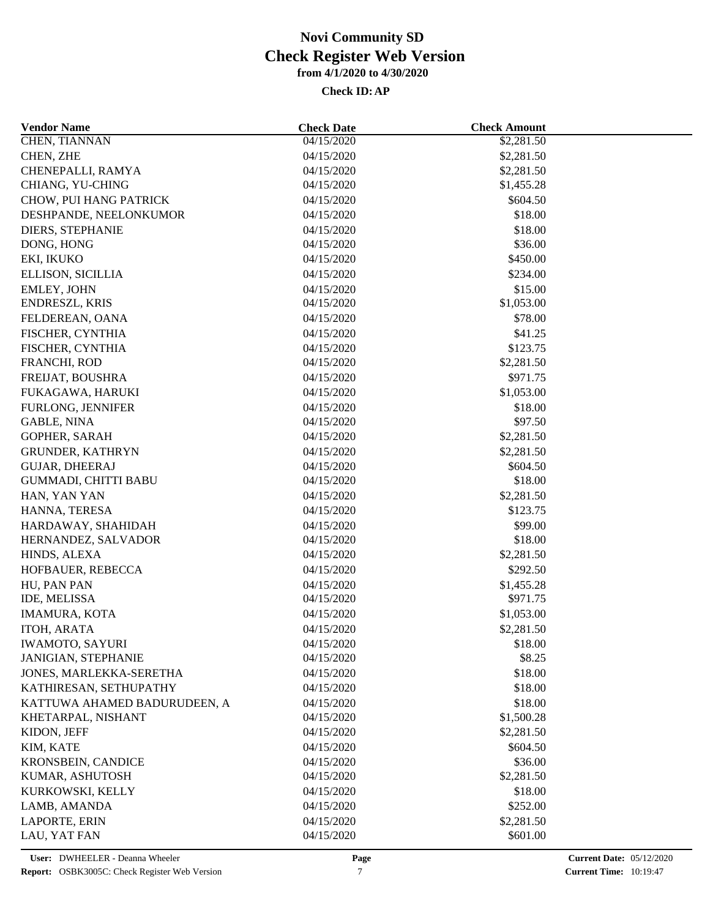| <b>Vendor Name</b>            | <b>Check Date</b> | <b>Check Amount</b>    |  |
|-------------------------------|-------------------|------------------------|--|
| <b>CHEN, TIANNAN</b>          | 04/15/2020        | \$2,281.50             |  |
| CHEN, ZHE                     | 04/15/2020        | \$2,281.50             |  |
| CHENEPALLI, RAMYA             | 04/15/2020        | \$2,281.50             |  |
| CHIANG, YU-CHING              | 04/15/2020        | \$1,455.28             |  |
| <b>CHOW, PUI HANG PATRICK</b> | 04/15/2020        | \$604.50               |  |
| DESHPANDE, NEELONKUMOR        | 04/15/2020        | \$18.00                |  |
| DIERS, STEPHANIE              | 04/15/2020        | \$18.00                |  |
| DONG, HONG                    | 04/15/2020        | \$36.00                |  |
| EKI, IKUKO                    | 04/15/2020        | \$450.00               |  |
| ELLISON, SICILLIA             | 04/15/2020        | \$234.00               |  |
| EMLEY, JOHN                   | 04/15/2020        | \$15.00                |  |
| ENDRESZL, KRIS                | 04/15/2020        | \$1,053.00             |  |
| FELDEREAN, OANA               | 04/15/2020        | \$78.00                |  |
| FISCHER, CYNTHIA              | 04/15/2020        | \$41.25                |  |
| FISCHER, CYNTHIA              | 04/15/2020        | \$123.75               |  |
| FRANCHI, ROD                  | 04/15/2020        | \$2,281.50             |  |
| FREIJAT, BOUSHRA              | 04/15/2020        | \$971.75               |  |
| FUKAGAWA, HARUKI              | 04/15/2020        | \$1,053.00             |  |
| FURLONG, JENNIFER             | 04/15/2020        | \$18.00                |  |
| <b>GABLE, NINA</b>            | 04/15/2020        | \$97.50                |  |
| GOPHER, SARAH                 | 04/15/2020        | \$2,281.50             |  |
| <b>GRUNDER, KATHRYN</b>       | 04/15/2020        | \$2,281.50             |  |
| <b>GUJAR, DHEERAJ</b>         | 04/15/2020        | \$604.50               |  |
| GUMMADI, CHITTI BABU          | 04/15/2020        | \$18.00                |  |
| HAN, YAN YAN                  | 04/15/2020        | \$2,281.50             |  |
| HANNA, TERESA                 | 04/15/2020        | \$123.75               |  |
| HARDAWAY, SHAHIDAH            | 04/15/2020        | \$99.00                |  |
| HERNANDEZ, SALVADOR           | 04/15/2020        | \$18.00                |  |
| HINDS, ALEXA                  | 04/15/2020        | \$2,281.50             |  |
| HOFBAUER, REBECCA             | 04/15/2020        | \$292.50               |  |
| HU, PAN PAN                   | 04/15/2020        |                        |  |
| IDE, MELISSA                  | 04/15/2020        | \$1,455.28<br>\$971.75 |  |
| <b>IMAMURA, KOTA</b>          | 04/15/2020        | \$1,053.00             |  |
|                               |                   |                        |  |
| ITOH, ARATA                   | 04/15/2020        | \$2,281.50             |  |
| <b>IWAMOTO, SAYURI</b>        | 04/15/2020        | \$18.00                |  |
| <b>JANIGIAN, STEPHANIE</b>    | 04/15/2020        | \$8.25                 |  |
| JONES, MARLEKKA-SERETHA       | 04/15/2020        | \$18.00                |  |
| KATHIRESAN, SETHUPATHY        | 04/15/2020        | \$18.00                |  |
| KATTUWA AHAMED BADURUDEEN, A  | 04/15/2020        | \$18.00                |  |
| KHETARPAL, NISHANT            | 04/15/2020        | \$1,500.28             |  |
| KIDON, JEFF                   | 04/15/2020        | \$2,281.50             |  |
| KIM, KATE                     | 04/15/2020        | \$604.50               |  |
| <b>KRONSBEIN, CANDICE</b>     | 04/15/2020        | \$36.00                |  |
| KUMAR, ASHUTOSH               | 04/15/2020        | \$2,281.50             |  |
| KURKOWSKI, KELLY              | 04/15/2020        | \$18.00                |  |
| LAMB, AMANDA                  | 04/15/2020        | \$252.00               |  |
| LAPORTE, ERIN                 | 04/15/2020        | \$2,281.50             |  |
| LAU, YAT FAN                  | 04/15/2020        | \$601.00               |  |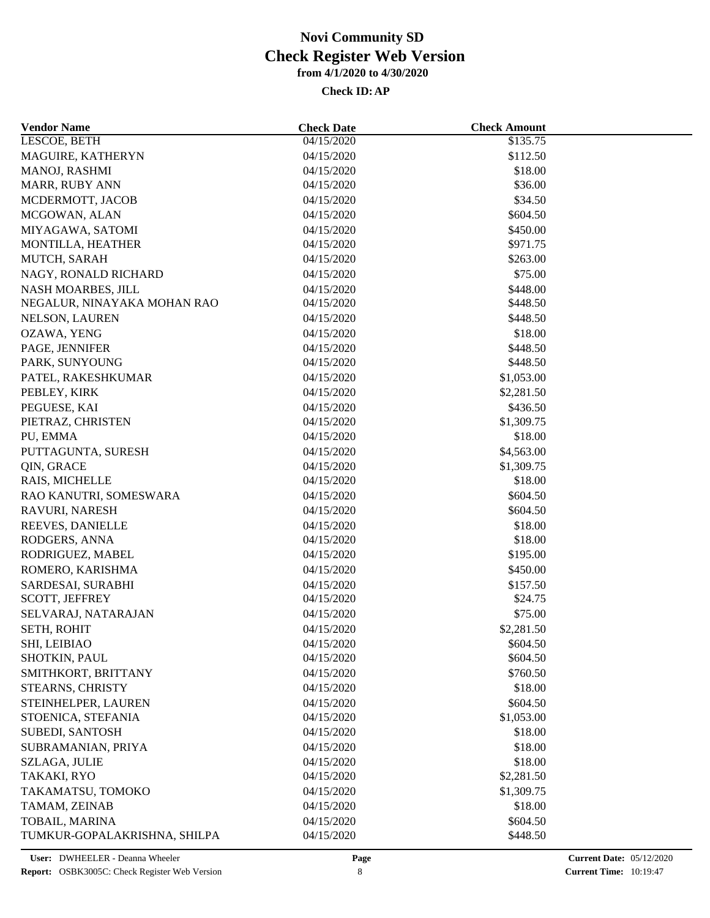| <b>Vendor Name</b>                | <b>Check Date</b>        | <b>Check Amount</b> |  |
|-----------------------------------|--------------------------|---------------------|--|
| LESCOE, BETH                      | 04/15/2020               | \$135.75            |  |
| MAGUIRE, KATHERYN                 | 04/15/2020               | \$112.50            |  |
| MANOJ, RASHMI                     | 04/15/2020               | \$18.00             |  |
| MARR, RUBY ANN                    | 04/15/2020               | \$36.00             |  |
| MCDERMOTT, JACOB                  | 04/15/2020               | \$34.50             |  |
| MCGOWAN, ALAN                     | 04/15/2020               | \$604.50            |  |
| MIYAGAWA, SATOMI                  | 04/15/2020               | \$450.00            |  |
| MONTILLA, HEATHER                 | 04/15/2020               | \$971.75            |  |
| MUTCH, SARAH                      | 04/15/2020               | \$263.00            |  |
| NAGY, RONALD RICHARD              | 04/15/2020               | \$75.00             |  |
| NASH MOARBES, JILL                | 04/15/2020               | \$448.00            |  |
| NEGALUR, NINAYAKA MOHAN RAO       | 04/15/2020               | \$448.50            |  |
| NELSON, LAUREN                    | 04/15/2020               | \$448.50            |  |
| OZAWA, YENG                       | 04/15/2020               | \$18.00             |  |
| PAGE, JENNIFER                    | 04/15/2020               | \$448.50            |  |
| PARK, SUNYOUNG                    | 04/15/2020               | \$448.50            |  |
| PATEL, RAKESHKUMAR                | 04/15/2020               | \$1,053.00          |  |
| PEBLEY, KIRK                      | 04/15/2020               | \$2,281.50          |  |
| PEGUESE, KAI                      | 04/15/2020               | \$436.50            |  |
| PIETRAZ, CHRISTEN                 | 04/15/2020               | \$1,309.75          |  |
| PU, EMMA                          | 04/15/2020               | \$18.00             |  |
| PUTTAGUNTA, SURESH                | 04/15/2020               | \$4,563.00          |  |
| QIN, GRACE                        | 04/15/2020               | \$1,309.75          |  |
| RAIS, MICHELLE                    | 04/15/2020               | \$18.00             |  |
| RAO KANUTRI, SOMESWARA            | 04/15/2020               | \$604.50            |  |
| RAVURI, NARESH                    | 04/15/2020               | \$604.50            |  |
|                                   |                          |                     |  |
| REEVES, DANIELLE                  | 04/15/2020               | \$18.00<br>\$18.00  |  |
| RODGERS, ANNA<br>RODRIGUEZ, MABEL | 04/15/2020<br>04/15/2020 | \$195.00            |  |
|                                   |                          |                     |  |
| ROMERO, KARISHMA                  | 04/15/2020               | \$450.00            |  |
| SARDESAI, SURABHI                 | 04/15/2020               | \$157.50            |  |
| SCOTT, JEFFREY                    | 04/15/2020               | \$24.75             |  |
| SELVARAJ, NATARAJAN               | 04/15/2020               | \$75.00             |  |
| SETH, ROHIT                       | 04/15/2020               | \$2,281.50          |  |
| SHI, LEIBIAO                      | 04/15/2020               | \$604.50            |  |
| SHOTKIN, PAUL                     | 04/15/2020               | \$604.50            |  |
| SMITHKORT, BRITTANY               | 04/15/2020               | \$760.50            |  |
| STEARNS, CHRISTY                  | 04/15/2020               | \$18.00             |  |
| STEINHELPER, LAUREN               | 04/15/2020               | \$604.50            |  |
| STOENICA, STEFANIA                | 04/15/2020               | \$1,053.00          |  |
| SUBEDI, SANTOSH                   | 04/15/2020               | \$18.00             |  |
| SUBRAMANIAN, PRIYA                | 04/15/2020               | \$18.00             |  |
| SZLAGA, JULIE                     | 04/15/2020               | \$18.00             |  |
| TAKAKI, RYO                       | 04/15/2020               | \$2,281.50          |  |
| TAKAMATSU, TOMOKO                 | 04/15/2020               | \$1,309.75          |  |
| TAMAM, ZEINAB                     | 04/15/2020               | \$18.00             |  |
| TOBAIL, MARINA                    | 04/15/2020               | \$604.50            |  |
| TUMKUR-GOPALAKRISHNA, SHILPA      | 04/15/2020               | \$448.50            |  |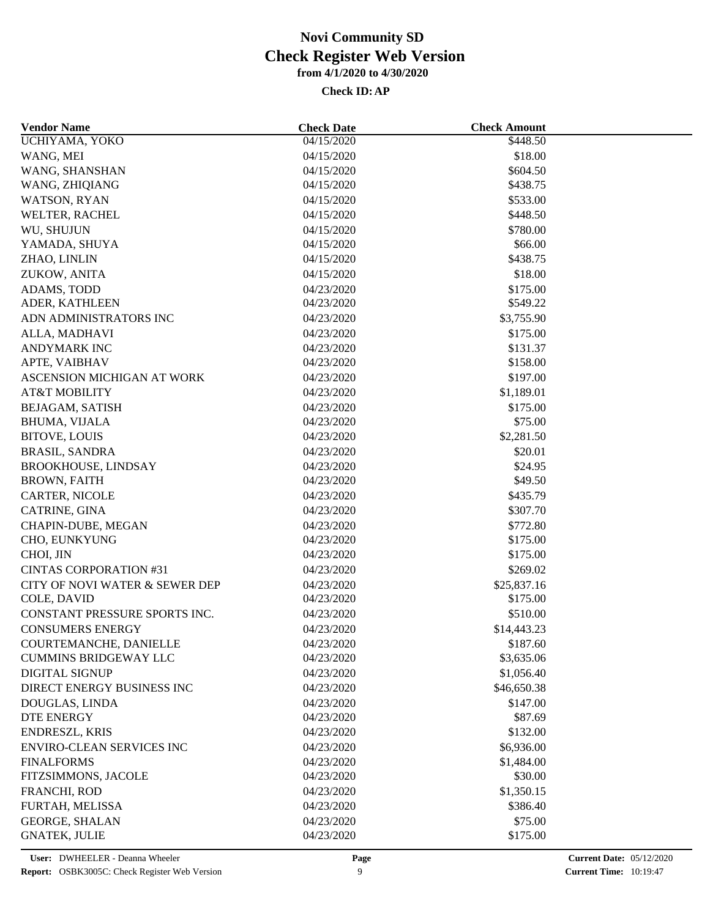| <b>Vendor Name</b>                  | <b>Check Date</b> | <b>Check Amount</b> |  |
|-------------------------------------|-------------------|---------------------|--|
| UCHIYAMA, YOKO                      | 04/15/2020        | \$448.50            |  |
| WANG, MEI                           | 04/15/2020        | \$18.00             |  |
| WANG, SHANSHAN                      | 04/15/2020        | \$604.50            |  |
| WANG, ZHIQIANG                      | 04/15/2020        | \$438.75            |  |
| WATSON, RYAN                        | 04/15/2020        | \$533.00            |  |
| WELTER, RACHEL                      | 04/15/2020        | \$448.50            |  |
| WU, SHUJUN                          | 04/15/2020        | \$780.00            |  |
| YAMADA, SHUYA                       | 04/15/2020        | \$66.00             |  |
| ZHAO, LINLIN                        | 04/15/2020        | \$438.75            |  |
| ZUKOW, ANITA                        | 04/15/2020        | \$18.00             |  |
| ADAMS, TODD                         | 04/23/2020        | \$175.00            |  |
| ADER, KATHLEEN                      | 04/23/2020        | \$549.22            |  |
| ADN ADMINISTRATORS INC              | 04/23/2020        | \$3,755.90          |  |
| ALLA, MADHAVI                       | 04/23/2020        | \$175.00            |  |
| ANDYMARK INC                        | 04/23/2020        | \$131.37            |  |
| APTE, VAIBHAV                       | 04/23/2020        | \$158.00            |  |
| ASCENSION MICHIGAN AT WORK          | 04/23/2020        | \$197.00            |  |
| <b>AT&amp;T MOBILITY</b>            | 04/23/2020        | \$1,189.01          |  |
| BEJAGAM, SATISH                     | 04/23/2020        | \$175.00            |  |
| BHUMA, VIJALA                       | 04/23/2020        | \$75.00             |  |
| <b>BITOVE, LOUIS</b>                | 04/23/2020        | \$2,281.50          |  |
| <b>BRASIL, SANDRA</b>               | 04/23/2020        | \$20.01             |  |
| <b>BROOKHOUSE, LINDSAY</b>          | 04/23/2020        | \$24.95             |  |
| <b>BROWN, FAITH</b>                 | 04/23/2020        | \$49.50             |  |
| CARTER, NICOLE                      | 04/23/2020        | \$435.79            |  |
| CATRINE, GINA                       | 04/23/2020        | \$307.70            |  |
| CHAPIN-DUBE, MEGAN                  | 04/23/2020        | \$772.80            |  |
| CHO, EUNKYUNG                       | 04/23/2020        | \$175.00            |  |
| CHOI, JIN                           | 04/23/2020        | \$175.00            |  |
| <b>CINTAS CORPORATION #31</b>       | 04/23/2020        | \$269.02            |  |
| CITY OF NOVI WATER & SEWER DEP      | 04/23/2020        | \$25,837.16         |  |
| COLE, DAVID                         | 04/23/2020        | \$175.00            |  |
| CONSTANT PRESSURE SPORTS INC.       | 04/23/2020        | \$510.00            |  |
| <b>CONSUMERS ENERGY</b>             | 04/23/2020        | \$14,443.23         |  |
| COURTEMANCHE, DANIELLE              | 04/23/2020        | \$187.60            |  |
| <b>CUMMINS BRIDGEWAY LLC</b>        | 04/23/2020        | \$3,635.06          |  |
| <b>DIGITAL SIGNUP</b>               | 04/23/2020        | \$1,056.40          |  |
| DIRECT ENERGY BUSINESS INC          |                   |                     |  |
|                                     | 04/23/2020        | \$46,650.38         |  |
| DOUGLAS, LINDA<br><b>DTE ENERGY</b> | 04/23/2020        | \$147.00<br>\$87.69 |  |
|                                     | 04/23/2020        |                     |  |
| <b>ENDRESZL, KRIS</b>               | 04/23/2020        | \$132.00            |  |
| <b>ENVIRO-CLEAN SERVICES INC</b>    | 04/23/2020        | \$6,936.00          |  |
| <b>FINALFORMS</b>                   | 04/23/2020        | \$1,484.00          |  |
| FITZSIMMONS, JACOLE                 | 04/23/2020        | \$30.00             |  |
| FRANCHI, ROD                        | 04/23/2020        | \$1,350.15          |  |
| FURTAH, MELISSA                     | 04/23/2020        | \$386.40            |  |
| <b>GEORGE, SHALAN</b>               | 04/23/2020        | \$75.00             |  |
| <b>GNATEK, JULIE</b>                | 04/23/2020        | \$175.00            |  |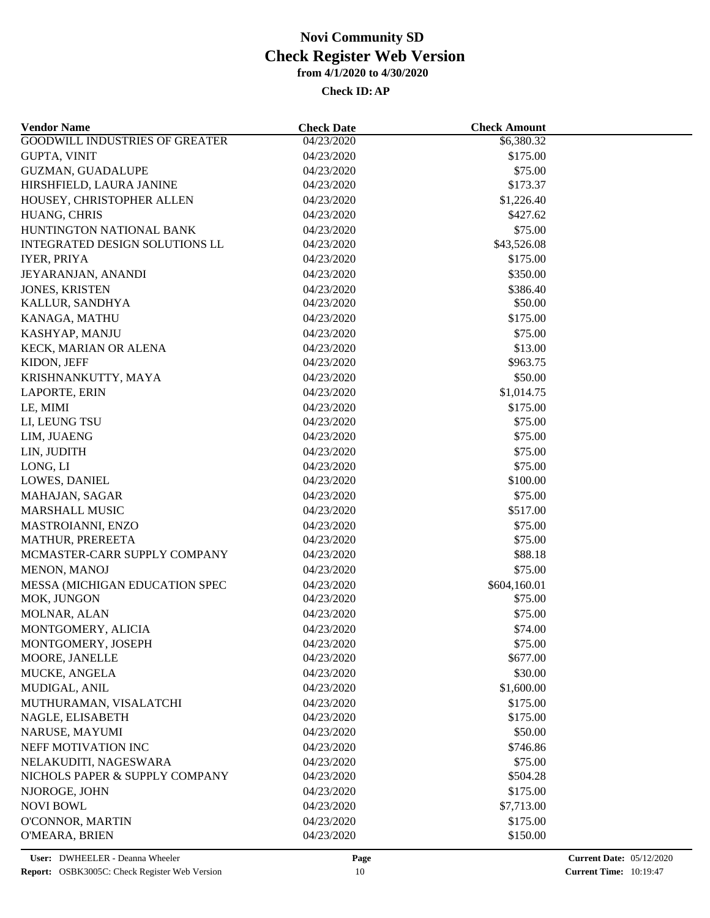| <b>GOODWILL INDUSTRIES OF GREATER</b><br>04/23/2020<br>\$6,380.32<br><b>GUPTA, VINIT</b><br>04/23/2020<br>\$175.00<br>\$75.00<br><b>GUZMAN, GUADALUPE</b><br>04/23/2020<br>\$173.37<br>HIRSHFIELD, LAURA JANINE<br>04/23/2020<br>HOUSEY, CHRISTOPHER ALLEN<br>04/23/2020<br>\$1,226.40<br>HUANG, CHRIS<br>04/23/2020<br>\$427.62<br>HUNTINGTON NATIONAL BANK<br>04/23/2020<br>\$75.00<br>INTEGRATED DESIGN SOLUTIONS LL<br>\$43,526.08<br>04/23/2020<br><b>IYER, PRIYA</b><br>04/23/2020<br>\$175.00<br>\$350.00<br>JEYARANJAN, ANANDI<br>04/23/2020<br>04/23/2020<br>\$386.40<br><b>JONES, KRISTEN</b><br>04/23/2020<br>\$50.00<br>KALLUR, SANDHYA<br>04/23/2020<br>\$175.00<br>KANAGA, MATHU<br>\$75.00<br>KASHYAP, MANJU<br>04/23/2020<br>KECK, MARIAN OR ALENA<br>04/23/2020<br>\$13.00<br>KIDON, JEFF<br>04/23/2020<br>\$963.75<br>\$50.00<br>KRISHNANKUTTY, MAYA<br>04/23/2020<br>04/23/2020<br>\$1,014.75<br>LAPORTE, ERIN<br>LE, MIMI<br>04/23/2020<br>\$175.00<br>04/23/2020<br>\$75.00<br>LI, LEUNG TSU<br>04/23/2020<br>\$75.00<br>LIM, JUAENG<br>\$75.00<br>LIN, JUDITH<br>04/23/2020<br>LONG, LI<br>04/23/2020<br>\$75.00<br>\$100.00<br>LOWES, DANIEL<br>04/23/2020<br>\$75.00<br>MAHAJAN, SAGAR<br>04/23/2020<br><b>MARSHALL MUSIC</b><br>\$517.00<br>04/23/2020<br>MASTROIANNI, ENZO<br>04/23/2020<br>\$75.00<br>04/23/2020<br>\$75.00<br><b>MATHUR, PREREETA</b><br>MCMASTER-CARR SUPPLY COMPANY<br>\$88.18<br>04/23/2020<br>04/23/2020<br>MENON, MANOJ<br>\$75.00<br>MESSA (MICHIGAN EDUCATION SPEC<br>04/23/2020<br>\$604,160.01<br>MOK, JUNGON<br>04/23/2020<br>\$75.00<br>MOLNAR, ALAN<br>04/23/2020<br>\$75.00<br>MONTGOMERY, ALICIA<br>04/23/2020<br>\$74.00<br>\$75.00<br>MONTGOMERY, JOSEPH<br>04/23/2020<br>04/23/2020<br>\$677.00<br>MOORE, JANELLE<br>MUCKE, ANGELA<br>04/23/2020<br>\$30.00<br>MUDIGAL, ANIL<br>04/23/2020<br>\$1,600.00<br>MUTHURAMAN, VISALATCHI<br>04/23/2020<br>\$175.00<br>NAGLE, ELISABETH<br>04/23/2020<br>\$175.00<br>\$50.00<br>NARUSE, MAYUMI<br>04/23/2020<br>NEFF MOTIVATION INC<br>04/23/2020<br>\$746.86<br>NELAKUDITI, NAGESWARA<br>04/23/2020<br>\$75.00<br>NICHOLS PAPER & SUPPLY COMPANY<br>04/23/2020<br>\$504.28<br>NJOROGE, JOHN<br>\$175.00<br>04/23/2020<br><b>NOVI BOWL</b><br>04/23/2020<br>\$7,713.00<br>O'CONNOR, MARTIN<br>04/23/2020<br>\$175.00<br>04/23/2020<br>\$150.00<br>O'MEARA, BRIEN | <b>Vendor Name</b> | <b>Check Date</b> | <b>Check Amount</b> |  |
|------------------------------------------------------------------------------------------------------------------------------------------------------------------------------------------------------------------------------------------------------------------------------------------------------------------------------------------------------------------------------------------------------------------------------------------------------------------------------------------------------------------------------------------------------------------------------------------------------------------------------------------------------------------------------------------------------------------------------------------------------------------------------------------------------------------------------------------------------------------------------------------------------------------------------------------------------------------------------------------------------------------------------------------------------------------------------------------------------------------------------------------------------------------------------------------------------------------------------------------------------------------------------------------------------------------------------------------------------------------------------------------------------------------------------------------------------------------------------------------------------------------------------------------------------------------------------------------------------------------------------------------------------------------------------------------------------------------------------------------------------------------------------------------------------------------------------------------------------------------------------------------------------------------------------------------------------------------------------------------------------------------------------------------------------------------------------------------------------------------------------------------------------------------------------------------------------------------------------------------------------------------------------------------------------------------------------------------------------------------------|--------------------|-------------------|---------------------|--|
|                                                                                                                                                                                                                                                                                                                                                                                                                                                                                                                                                                                                                                                                                                                                                                                                                                                                                                                                                                                                                                                                                                                                                                                                                                                                                                                                                                                                                                                                                                                                                                                                                                                                                                                                                                                                                                                                                                                                                                                                                                                                                                                                                                                                                                                                                                                                                                        |                    |                   |                     |  |
|                                                                                                                                                                                                                                                                                                                                                                                                                                                                                                                                                                                                                                                                                                                                                                                                                                                                                                                                                                                                                                                                                                                                                                                                                                                                                                                                                                                                                                                                                                                                                                                                                                                                                                                                                                                                                                                                                                                                                                                                                                                                                                                                                                                                                                                                                                                                                                        |                    |                   |                     |  |
|                                                                                                                                                                                                                                                                                                                                                                                                                                                                                                                                                                                                                                                                                                                                                                                                                                                                                                                                                                                                                                                                                                                                                                                                                                                                                                                                                                                                                                                                                                                                                                                                                                                                                                                                                                                                                                                                                                                                                                                                                                                                                                                                                                                                                                                                                                                                                                        |                    |                   |                     |  |
|                                                                                                                                                                                                                                                                                                                                                                                                                                                                                                                                                                                                                                                                                                                                                                                                                                                                                                                                                                                                                                                                                                                                                                                                                                                                                                                                                                                                                                                                                                                                                                                                                                                                                                                                                                                                                                                                                                                                                                                                                                                                                                                                                                                                                                                                                                                                                                        |                    |                   |                     |  |
|                                                                                                                                                                                                                                                                                                                                                                                                                                                                                                                                                                                                                                                                                                                                                                                                                                                                                                                                                                                                                                                                                                                                                                                                                                                                                                                                                                                                                                                                                                                                                                                                                                                                                                                                                                                                                                                                                                                                                                                                                                                                                                                                                                                                                                                                                                                                                                        |                    |                   |                     |  |
|                                                                                                                                                                                                                                                                                                                                                                                                                                                                                                                                                                                                                                                                                                                                                                                                                                                                                                                                                                                                                                                                                                                                                                                                                                                                                                                                                                                                                                                                                                                                                                                                                                                                                                                                                                                                                                                                                                                                                                                                                                                                                                                                                                                                                                                                                                                                                                        |                    |                   |                     |  |
|                                                                                                                                                                                                                                                                                                                                                                                                                                                                                                                                                                                                                                                                                                                                                                                                                                                                                                                                                                                                                                                                                                                                                                                                                                                                                                                                                                                                                                                                                                                                                                                                                                                                                                                                                                                                                                                                                                                                                                                                                                                                                                                                                                                                                                                                                                                                                                        |                    |                   |                     |  |
|                                                                                                                                                                                                                                                                                                                                                                                                                                                                                                                                                                                                                                                                                                                                                                                                                                                                                                                                                                                                                                                                                                                                                                                                                                                                                                                                                                                                                                                                                                                                                                                                                                                                                                                                                                                                                                                                                                                                                                                                                                                                                                                                                                                                                                                                                                                                                                        |                    |                   |                     |  |
|                                                                                                                                                                                                                                                                                                                                                                                                                                                                                                                                                                                                                                                                                                                                                                                                                                                                                                                                                                                                                                                                                                                                                                                                                                                                                                                                                                                                                                                                                                                                                                                                                                                                                                                                                                                                                                                                                                                                                                                                                                                                                                                                                                                                                                                                                                                                                                        |                    |                   |                     |  |
|                                                                                                                                                                                                                                                                                                                                                                                                                                                                                                                                                                                                                                                                                                                                                                                                                                                                                                                                                                                                                                                                                                                                                                                                                                                                                                                                                                                                                                                                                                                                                                                                                                                                                                                                                                                                                                                                                                                                                                                                                                                                                                                                                                                                                                                                                                                                                                        |                    |                   |                     |  |
|                                                                                                                                                                                                                                                                                                                                                                                                                                                                                                                                                                                                                                                                                                                                                                                                                                                                                                                                                                                                                                                                                                                                                                                                                                                                                                                                                                                                                                                                                                                                                                                                                                                                                                                                                                                                                                                                                                                                                                                                                                                                                                                                                                                                                                                                                                                                                                        |                    |                   |                     |  |
|                                                                                                                                                                                                                                                                                                                                                                                                                                                                                                                                                                                                                                                                                                                                                                                                                                                                                                                                                                                                                                                                                                                                                                                                                                                                                                                                                                                                                                                                                                                                                                                                                                                                                                                                                                                                                                                                                                                                                                                                                                                                                                                                                                                                                                                                                                                                                                        |                    |                   |                     |  |
|                                                                                                                                                                                                                                                                                                                                                                                                                                                                                                                                                                                                                                                                                                                                                                                                                                                                                                                                                                                                                                                                                                                                                                                                                                                                                                                                                                                                                                                                                                                                                                                                                                                                                                                                                                                                                                                                                                                                                                                                                                                                                                                                                                                                                                                                                                                                                                        |                    |                   |                     |  |
|                                                                                                                                                                                                                                                                                                                                                                                                                                                                                                                                                                                                                                                                                                                                                                                                                                                                                                                                                                                                                                                                                                                                                                                                                                                                                                                                                                                                                                                                                                                                                                                                                                                                                                                                                                                                                                                                                                                                                                                                                                                                                                                                                                                                                                                                                                                                                                        |                    |                   |                     |  |
|                                                                                                                                                                                                                                                                                                                                                                                                                                                                                                                                                                                                                                                                                                                                                                                                                                                                                                                                                                                                                                                                                                                                                                                                                                                                                                                                                                                                                                                                                                                                                                                                                                                                                                                                                                                                                                                                                                                                                                                                                                                                                                                                                                                                                                                                                                                                                                        |                    |                   |                     |  |
|                                                                                                                                                                                                                                                                                                                                                                                                                                                                                                                                                                                                                                                                                                                                                                                                                                                                                                                                                                                                                                                                                                                                                                                                                                                                                                                                                                                                                                                                                                                                                                                                                                                                                                                                                                                                                                                                                                                                                                                                                                                                                                                                                                                                                                                                                                                                                                        |                    |                   |                     |  |
|                                                                                                                                                                                                                                                                                                                                                                                                                                                                                                                                                                                                                                                                                                                                                                                                                                                                                                                                                                                                                                                                                                                                                                                                                                                                                                                                                                                                                                                                                                                                                                                                                                                                                                                                                                                                                                                                                                                                                                                                                                                                                                                                                                                                                                                                                                                                                                        |                    |                   |                     |  |
|                                                                                                                                                                                                                                                                                                                                                                                                                                                                                                                                                                                                                                                                                                                                                                                                                                                                                                                                                                                                                                                                                                                                                                                                                                                                                                                                                                                                                                                                                                                                                                                                                                                                                                                                                                                                                                                                                                                                                                                                                                                                                                                                                                                                                                                                                                                                                                        |                    |                   |                     |  |
|                                                                                                                                                                                                                                                                                                                                                                                                                                                                                                                                                                                                                                                                                                                                                                                                                                                                                                                                                                                                                                                                                                                                                                                                                                                                                                                                                                                                                                                                                                                                                                                                                                                                                                                                                                                                                                                                                                                                                                                                                                                                                                                                                                                                                                                                                                                                                                        |                    |                   |                     |  |
|                                                                                                                                                                                                                                                                                                                                                                                                                                                                                                                                                                                                                                                                                                                                                                                                                                                                                                                                                                                                                                                                                                                                                                                                                                                                                                                                                                                                                                                                                                                                                                                                                                                                                                                                                                                                                                                                                                                                                                                                                                                                                                                                                                                                                                                                                                                                                                        |                    |                   |                     |  |
|                                                                                                                                                                                                                                                                                                                                                                                                                                                                                                                                                                                                                                                                                                                                                                                                                                                                                                                                                                                                                                                                                                                                                                                                                                                                                                                                                                                                                                                                                                                                                                                                                                                                                                                                                                                                                                                                                                                                                                                                                                                                                                                                                                                                                                                                                                                                                                        |                    |                   |                     |  |
|                                                                                                                                                                                                                                                                                                                                                                                                                                                                                                                                                                                                                                                                                                                                                                                                                                                                                                                                                                                                                                                                                                                                                                                                                                                                                                                                                                                                                                                                                                                                                                                                                                                                                                                                                                                                                                                                                                                                                                                                                                                                                                                                                                                                                                                                                                                                                                        |                    |                   |                     |  |
|                                                                                                                                                                                                                                                                                                                                                                                                                                                                                                                                                                                                                                                                                                                                                                                                                                                                                                                                                                                                                                                                                                                                                                                                                                                                                                                                                                                                                                                                                                                                                                                                                                                                                                                                                                                                                                                                                                                                                                                                                                                                                                                                                                                                                                                                                                                                                                        |                    |                   |                     |  |
|                                                                                                                                                                                                                                                                                                                                                                                                                                                                                                                                                                                                                                                                                                                                                                                                                                                                                                                                                                                                                                                                                                                                                                                                                                                                                                                                                                                                                                                                                                                                                                                                                                                                                                                                                                                                                                                                                                                                                                                                                                                                                                                                                                                                                                                                                                                                                                        |                    |                   |                     |  |
|                                                                                                                                                                                                                                                                                                                                                                                                                                                                                                                                                                                                                                                                                                                                                                                                                                                                                                                                                                                                                                                                                                                                                                                                                                                                                                                                                                                                                                                                                                                                                                                                                                                                                                                                                                                                                                                                                                                                                                                                                                                                                                                                                                                                                                                                                                                                                                        |                    |                   |                     |  |
|                                                                                                                                                                                                                                                                                                                                                                                                                                                                                                                                                                                                                                                                                                                                                                                                                                                                                                                                                                                                                                                                                                                                                                                                                                                                                                                                                                                                                                                                                                                                                                                                                                                                                                                                                                                                                                                                                                                                                                                                                                                                                                                                                                                                                                                                                                                                                                        |                    |                   |                     |  |
|                                                                                                                                                                                                                                                                                                                                                                                                                                                                                                                                                                                                                                                                                                                                                                                                                                                                                                                                                                                                                                                                                                                                                                                                                                                                                                                                                                                                                                                                                                                                                                                                                                                                                                                                                                                                                                                                                                                                                                                                                                                                                                                                                                                                                                                                                                                                                                        |                    |                   |                     |  |
|                                                                                                                                                                                                                                                                                                                                                                                                                                                                                                                                                                                                                                                                                                                                                                                                                                                                                                                                                                                                                                                                                                                                                                                                                                                                                                                                                                                                                                                                                                                                                                                                                                                                                                                                                                                                                                                                                                                                                                                                                                                                                                                                                                                                                                                                                                                                                                        |                    |                   |                     |  |
|                                                                                                                                                                                                                                                                                                                                                                                                                                                                                                                                                                                                                                                                                                                                                                                                                                                                                                                                                                                                                                                                                                                                                                                                                                                                                                                                                                                                                                                                                                                                                                                                                                                                                                                                                                                                                                                                                                                                                                                                                                                                                                                                                                                                                                                                                                                                                                        |                    |                   |                     |  |
|                                                                                                                                                                                                                                                                                                                                                                                                                                                                                                                                                                                                                                                                                                                                                                                                                                                                                                                                                                                                                                                                                                                                                                                                                                                                                                                                                                                                                                                                                                                                                                                                                                                                                                                                                                                                                                                                                                                                                                                                                                                                                                                                                                                                                                                                                                                                                                        |                    |                   |                     |  |
|                                                                                                                                                                                                                                                                                                                                                                                                                                                                                                                                                                                                                                                                                                                                                                                                                                                                                                                                                                                                                                                                                                                                                                                                                                                                                                                                                                                                                                                                                                                                                                                                                                                                                                                                                                                                                                                                                                                                                                                                                                                                                                                                                                                                                                                                                                                                                                        |                    |                   |                     |  |
|                                                                                                                                                                                                                                                                                                                                                                                                                                                                                                                                                                                                                                                                                                                                                                                                                                                                                                                                                                                                                                                                                                                                                                                                                                                                                                                                                                                                                                                                                                                                                                                                                                                                                                                                                                                                                                                                                                                                                                                                                                                                                                                                                                                                                                                                                                                                                                        |                    |                   |                     |  |
|                                                                                                                                                                                                                                                                                                                                                                                                                                                                                                                                                                                                                                                                                                                                                                                                                                                                                                                                                                                                                                                                                                                                                                                                                                                                                                                                                                                                                                                                                                                                                                                                                                                                                                                                                                                                                                                                                                                                                                                                                                                                                                                                                                                                                                                                                                                                                                        |                    |                   |                     |  |
|                                                                                                                                                                                                                                                                                                                                                                                                                                                                                                                                                                                                                                                                                                                                                                                                                                                                                                                                                                                                                                                                                                                                                                                                                                                                                                                                                                                                                                                                                                                                                                                                                                                                                                                                                                                                                                                                                                                                                                                                                                                                                                                                                                                                                                                                                                                                                                        |                    |                   |                     |  |
|                                                                                                                                                                                                                                                                                                                                                                                                                                                                                                                                                                                                                                                                                                                                                                                                                                                                                                                                                                                                                                                                                                                                                                                                                                                                                                                                                                                                                                                                                                                                                                                                                                                                                                                                                                                                                                                                                                                                                                                                                                                                                                                                                                                                                                                                                                                                                                        |                    |                   |                     |  |
|                                                                                                                                                                                                                                                                                                                                                                                                                                                                                                                                                                                                                                                                                                                                                                                                                                                                                                                                                                                                                                                                                                                                                                                                                                                                                                                                                                                                                                                                                                                                                                                                                                                                                                                                                                                                                                                                                                                                                                                                                                                                                                                                                                                                                                                                                                                                                                        |                    |                   |                     |  |
|                                                                                                                                                                                                                                                                                                                                                                                                                                                                                                                                                                                                                                                                                                                                                                                                                                                                                                                                                                                                                                                                                                                                                                                                                                                                                                                                                                                                                                                                                                                                                                                                                                                                                                                                                                                                                                                                                                                                                                                                                                                                                                                                                                                                                                                                                                                                                                        |                    |                   |                     |  |
|                                                                                                                                                                                                                                                                                                                                                                                                                                                                                                                                                                                                                                                                                                                                                                                                                                                                                                                                                                                                                                                                                                                                                                                                                                                                                                                                                                                                                                                                                                                                                                                                                                                                                                                                                                                                                                                                                                                                                                                                                                                                                                                                                                                                                                                                                                                                                                        |                    |                   |                     |  |
|                                                                                                                                                                                                                                                                                                                                                                                                                                                                                                                                                                                                                                                                                                                                                                                                                                                                                                                                                                                                                                                                                                                                                                                                                                                                                                                                                                                                                                                                                                                                                                                                                                                                                                                                                                                                                                                                                                                                                                                                                                                                                                                                                                                                                                                                                                                                                                        |                    |                   |                     |  |
|                                                                                                                                                                                                                                                                                                                                                                                                                                                                                                                                                                                                                                                                                                                                                                                                                                                                                                                                                                                                                                                                                                                                                                                                                                                                                                                                                                                                                                                                                                                                                                                                                                                                                                                                                                                                                                                                                                                                                                                                                                                                                                                                                                                                                                                                                                                                                                        |                    |                   |                     |  |
|                                                                                                                                                                                                                                                                                                                                                                                                                                                                                                                                                                                                                                                                                                                                                                                                                                                                                                                                                                                                                                                                                                                                                                                                                                                                                                                                                                                                                                                                                                                                                                                                                                                                                                                                                                                                                                                                                                                                                                                                                                                                                                                                                                                                                                                                                                                                                                        |                    |                   |                     |  |
|                                                                                                                                                                                                                                                                                                                                                                                                                                                                                                                                                                                                                                                                                                                                                                                                                                                                                                                                                                                                                                                                                                                                                                                                                                                                                                                                                                                                                                                                                                                                                                                                                                                                                                                                                                                                                                                                                                                                                                                                                                                                                                                                                                                                                                                                                                                                                                        |                    |                   |                     |  |
|                                                                                                                                                                                                                                                                                                                                                                                                                                                                                                                                                                                                                                                                                                                                                                                                                                                                                                                                                                                                                                                                                                                                                                                                                                                                                                                                                                                                                                                                                                                                                                                                                                                                                                                                                                                                                                                                                                                                                                                                                                                                                                                                                                                                                                                                                                                                                                        |                    |                   |                     |  |
|                                                                                                                                                                                                                                                                                                                                                                                                                                                                                                                                                                                                                                                                                                                                                                                                                                                                                                                                                                                                                                                                                                                                                                                                                                                                                                                                                                                                                                                                                                                                                                                                                                                                                                                                                                                                                                                                                                                                                                                                                                                                                                                                                                                                                                                                                                                                                                        |                    |                   |                     |  |
|                                                                                                                                                                                                                                                                                                                                                                                                                                                                                                                                                                                                                                                                                                                                                                                                                                                                                                                                                                                                                                                                                                                                                                                                                                                                                                                                                                                                                                                                                                                                                                                                                                                                                                                                                                                                                                                                                                                                                                                                                                                                                                                                                                                                                                                                                                                                                                        |                    |                   |                     |  |
|                                                                                                                                                                                                                                                                                                                                                                                                                                                                                                                                                                                                                                                                                                                                                                                                                                                                                                                                                                                                                                                                                                                                                                                                                                                                                                                                                                                                                                                                                                                                                                                                                                                                                                                                                                                                                                                                                                                                                                                                                                                                                                                                                                                                                                                                                                                                                                        |                    |                   |                     |  |
|                                                                                                                                                                                                                                                                                                                                                                                                                                                                                                                                                                                                                                                                                                                                                                                                                                                                                                                                                                                                                                                                                                                                                                                                                                                                                                                                                                                                                                                                                                                                                                                                                                                                                                                                                                                                                                                                                                                                                                                                                                                                                                                                                                                                                                                                                                                                                                        |                    |                   |                     |  |
|                                                                                                                                                                                                                                                                                                                                                                                                                                                                                                                                                                                                                                                                                                                                                                                                                                                                                                                                                                                                                                                                                                                                                                                                                                                                                                                                                                                                                                                                                                                                                                                                                                                                                                                                                                                                                                                                                                                                                                                                                                                                                                                                                                                                                                                                                                                                                                        |                    |                   |                     |  |
|                                                                                                                                                                                                                                                                                                                                                                                                                                                                                                                                                                                                                                                                                                                                                                                                                                                                                                                                                                                                                                                                                                                                                                                                                                                                                                                                                                                                                                                                                                                                                                                                                                                                                                                                                                                                                                                                                                                                                                                                                                                                                                                                                                                                                                                                                                                                                                        |                    |                   |                     |  |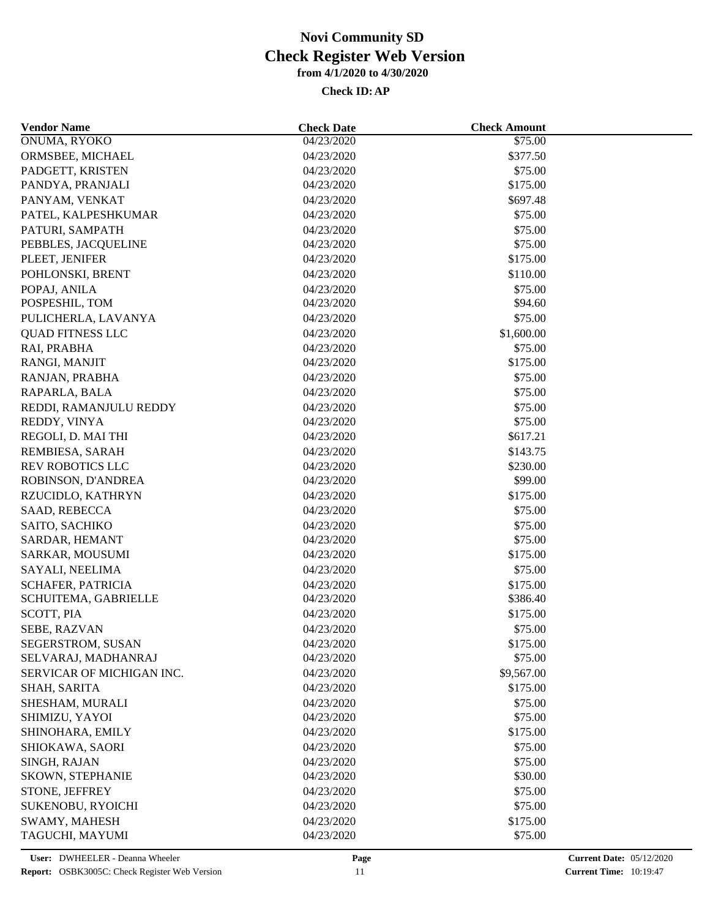| <b>Vendor Name</b>        | <b>Check Date</b> | <b>Check Amount</b> |  |
|---------------------------|-------------------|---------------------|--|
| ONUMA, RYOKO              | 04/23/2020        | \$75.00             |  |
| ORMSBEE, MICHAEL          | 04/23/2020        | \$377.50            |  |
| PADGETT, KRISTEN          | 04/23/2020        | \$75.00             |  |
| PANDYA, PRANJALI          | 04/23/2020        | \$175.00            |  |
| PANYAM, VENKAT            | 04/23/2020        | \$697.48            |  |
| PATEL, KALPESHKUMAR       | 04/23/2020        | \$75.00             |  |
| PATURI, SAMPATH           | 04/23/2020        | \$75.00             |  |
| PEBBLES, JACQUELINE       | 04/23/2020        | \$75.00             |  |
| PLEET, JENIFER            | 04/23/2020        | \$175.00            |  |
| POHLONSKI, BRENT          | 04/23/2020        | \$110.00            |  |
| POPAJ, ANILA              | 04/23/2020        | \$75.00             |  |
| POSPESHIL, TOM            | 04/23/2020        | \$94.60             |  |
| PULICHERLA, LAVANYA       | 04/23/2020        | \$75.00             |  |
| <b>QUAD FITNESS LLC</b>   | 04/23/2020        | \$1,600.00          |  |
| RAI, PRABHA               | 04/23/2020        | \$75.00             |  |
| RANGI, MANJIT             | 04/23/2020        | \$175.00            |  |
| RANJAN, PRABHA            | 04/23/2020        | \$75.00             |  |
| RAPARLA, BALA             | 04/23/2020        | \$75.00             |  |
| REDDI, RAMANJULU REDDY    | 04/23/2020        | \$75.00             |  |
| REDDY, VINYA              | 04/23/2020        | \$75.00             |  |
| REGOLI, D. MAI THI        | 04/23/2020        | \$617.21            |  |
| REMBIESA, SARAH           | 04/23/2020        | \$143.75            |  |
| <b>REV ROBOTICS LLC</b>   | 04/23/2020        | \$230.00            |  |
| ROBINSON, D'ANDREA        | 04/23/2020        | \$99.00             |  |
| RZUCIDLO, KATHRYN         | 04/23/2020        | \$175.00            |  |
| SAAD, REBECCA             | 04/23/2020        | \$75.00             |  |
| SAITO, SACHIKO            | 04/23/2020        | \$75.00             |  |
| SARDAR, HEMANT            | 04/23/2020        | \$75.00             |  |
| SARKAR, MOUSUMI           | 04/23/2020        | \$175.00            |  |
| SAYALI, NEELIMA           | 04/23/2020        | \$75.00             |  |
| SCHAFER, PATRICIA         | 04/23/2020        | \$175.00            |  |
| SCHUITEMA, GABRIELLE      | 04/23/2020        | \$386.40            |  |
| SCOTT, PIA                | 04/23/2020        | \$175.00            |  |
| SEBE, RAZVAN              | 04/23/2020        | \$75.00             |  |
| SEGERSTROM, SUSAN         | 04/23/2020        | \$175.00            |  |
| SELVARAJ, MADHANRAJ       | 04/23/2020        | \$75.00             |  |
| SERVICAR OF MICHIGAN INC. | 04/23/2020        | \$9,567.00          |  |
| SHAH, SARITA              | 04/23/2020        | \$175.00            |  |
| SHESHAM, MURALI           | 04/23/2020        | \$75.00             |  |
| SHIMIZU, YAYOI            | 04/23/2020        | \$75.00             |  |
| SHINOHARA, EMILY          | 04/23/2020        | \$175.00            |  |
| SHIOKAWA, SAORI           | 04/23/2020        | \$75.00             |  |
| SINGH, RAJAN              | 04/23/2020        | \$75.00             |  |
| SKOWN, STEPHANIE          | 04/23/2020        | \$30.00             |  |
| STONE, JEFFREY            | 04/23/2020        | \$75.00             |  |
|                           |                   |                     |  |
| SUKENOBU, RYOICHI         | 04/23/2020        | \$75.00             |  |
| SWAMY, MAHESH             | 04/23/2020        | \$175.00            |  |
| TAGUCHI, MAYUMI           | 04/23/2020        | \$75.00             |  |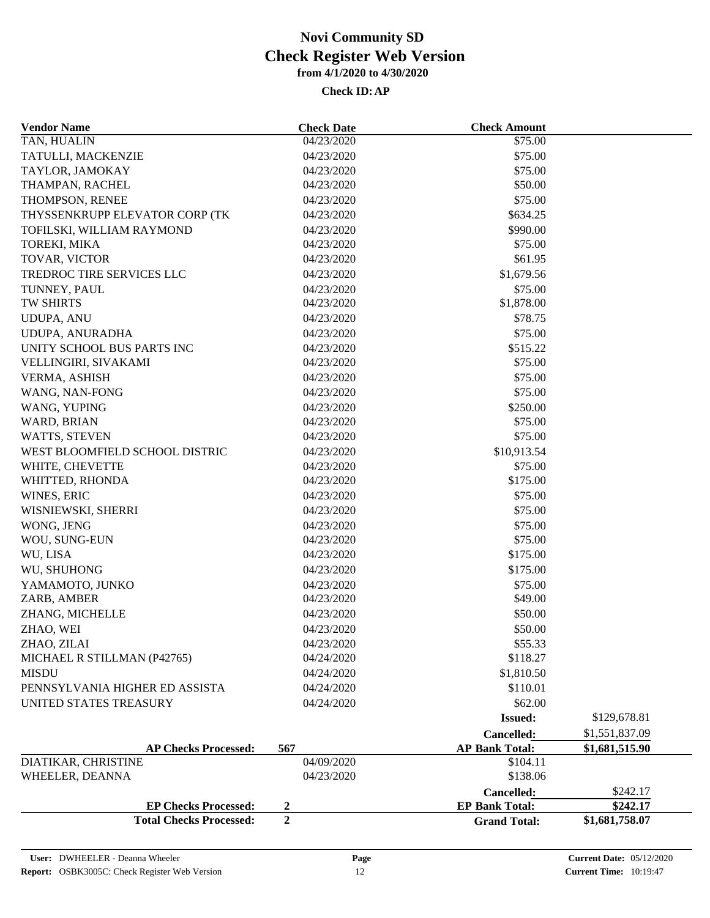| <b>Total Checks Processed:</b>                | $\overline{2}$           | <b>Grand Total:</b>   | \$1,681,758.07 |
|-----------------------------------------------|--------------------------|-----------------------|----------------|
| <b>EP Checks Processed:</b>                   | 2                        | <b>EP Bank Total:</b> | \$242.17       |
|                                               |                          | Cancelled:            | \$242.17       |
| WHEELER, DEANNA                               | 04/23/2020               | \$138.06              |                |
| DIATIKAR, CHRISTINE                           | 04/09/2020               | \$104.11              |                |
| <b>AP Checks Processed:</b>                   | 567                      | <b>AP Bank Total:</b> | \$1,681,515.90 |
|                                               |                          | Cancelled:            | \$1,551,837.09 |
|                                               |                          | <b>Issued:</b>        | \$129,678.81   |
| UNITED STATES TREASURY                        | 04/24/2020               | \$62.00               |                |
| PENNSYLVANIA HIGHER ED ASSISTA                | 04/24/2020               | \$110.01              |                |
| <b>MISDU</b>                                  | 04/24/2020               | \$1,810.50            |                |
| MICHAEL R STILLMAN (P42765)                   | 04/24/2020               | \$118.27              |                |
| ZHAO, ZILAI                                   | 04/23/2020               | \$55.33               |                |
| ZHAO, WEI                                     | 04/23/2020               | \$50.00               |                |
| ZHANG, MICHELLE                               | 04/23/2020               | \$50.00               |                |
| ZARB, AMBER                                   | 04/23/2020               | \$49.00               |                |
| YAMAMOTO, JUNKO                               | 04/23/2020               | \$75.00               |                |
| WU, SHUHONG                                   | 04/23/2020               | \$175.00              |                |
| WU, LISA                                      | 04/23/2020               | \$175.00              |                |
| WOU, SUNG-EUN                                 | 04/23/2020               | \$75.00               |                |
| WONG, JENG                                    | 04/23/2020               | \$75.00               |                |
| WISNIEWSKI, SHERRI                            | 04/23/2020               | \$75.00               |                |
| WINES, ERIC                                   | 04/23/2020               | \$75.00               |                |
| WHITTED, RHONDA                               | 04/23/2020               | \$175.00              |                |
| WHITE, CHEVETTE                               | 04/23/2020               | \$75.00               |                |
| WEST BLOOMFIELD SCHOOL DISTRIC                | 04/23/2020               | \$10,913.54           |                |
| WATTS, STEVEN                                 | 04/23/2020               | \$75.00               |                |
| WARD, BRIAN                                   | 04/23/2020               | \$75.00               |                |
| WANG, YUPING                                  | 04/23/2020               | \$250.00              |                |
| WANG, NAN-FONG                                | 04/23/2020               | \$75.00               |                |
| VERMA, ASHISH                                 | 04/23/2020               | \$75.00               |                |
| VELLINGIRI, SIVAKAMI                          | 04/23/2020               | \$75.00               |                |
| UDUPA, ANURADHA<br>UNITY SCHOOL BUS PARTS INC | 04/23/2020<br>04/23/2020 | \$515.22              |                |
| <b>UDUPA, ANU</b>                             | 04/23/2020               | \$78.75<br>\$75.00    |                |
| TW SHIRTS                                     | 04/23/2020               | \$1,878.00            |                |
| TUNNEY, PAUL                                  | 04/23/2020               | \$75.00               |                |
| <b>TREDROC TIRE SERVICES LLC</b>              | 04/23/2020               | \$1,679.56            |                |
| TOVAR, VICTOR                                 | 04/23/2020               | \$61.95               |                |
| TOREKI, MIKA                                  | 04/23/2020               | \$75.00               |                |
| TOFILSKI, WILLIAM RAYMOND                     | 04/23/2020               | \$990.00              |                |
| THYSSENKRUPP ELEVATOR CORP (TK                | 04/23/2020               | \$634.25              |                |
| THOMPSON, RENEE                               | 04/23/2020               | \$75.00               |                |
| THAMPAN, RACHEL                               | 04/23/2020               | \$50.00               |                |
| TAYLOR, JAMOKAY                               | 04/23/2020               | \$75.00               |                |
| TATULLI, MACKENZIE                            | 04/23/2020               | \$75.00               |                |
| TAN, HUALIN                                   | 04/23/2020               | \$75.00               |                |
| <b>Vendor Name</b>                            | <b>Check Date</b>        | <b>Check Amount</b>   |                |